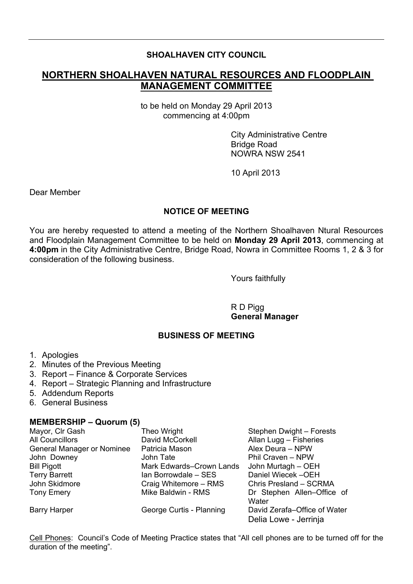### **SHOALHAVEN CITY COUNCIL**

# **NORTHERN SHOALHAVEN NATURAL RESOURCES AND FLOODPLAIN MANAGEMENT COMMITTEE**

to be held on Monday 29 April 2013 commencing at 4:00pm

> City Administrative Centre Bridge Road NOWRA NSW 2541

10 April 2013

Dear Member

## **NOTICE OF MEETING**

You are hereby requested to attend a meeting of the Northern Shoalhaven Ntural Resources and Floodplain Management Committee to be held on **Monday 29 April 2013**, commencing at **4:00pm** in the City Administrative Centre, Bridge Road, Nowra in Committee Rooms 1, 2 & 3 for consideration of the following business.

Yours faithfully

R D Pigg **General Manager**

#### **BUSINESS OF MEETING**

- 1. Apologies
- 2. Minutes of the Previous Meeting
- 3. Report Finance & Corporate Services
- 4. Report Strategic Planning and Infrastructure
- 5. Addendum Reports
- 6. General Business

#### **MEMBERSHIP – Quorum (5)**

| Mayor, Clr Gash                   | Theo Wright              | Stephen Dwight - Forests                              |
|-----------------------------------|--------------------------|-------------------------------------------------------|
| <b>All Councillors</b>            | David McCorkell          | Allan Lugg - Fisheries                                |
| <b>General Manager or Nominee</b> | Patricia Mason           | Alex Deura - NPW                                      |
| John Downey                       | John Tate                | Phil Craven - NPW                                     |
| <b>Bill Pigott</b>                | Mark Edwards-Crown Lands | John Murtagh - OEH                                    |
| <b>Terry Barrett</b>              | Ian Borrowdale - SES     | Daniel Wiecek-OEH                                     |
| John Skidmore                     | Craig Whitemore - RMS    | Chris Presland - SCRMA                                |
| <b>Tony Emery</b>                 | Mike Baldwin - RMS       | Dr Stephen Allen-Office of<br>Water                   |
| <b>Barry Harper</b>               | George Curtis - Planning | David Zerafa-Office of Water<br>Delia Lowe - Jerrinja |

Cell Phones: Council's Code of Meeting Practice states that "All cell phones are to be turned off for the duration of the meeting".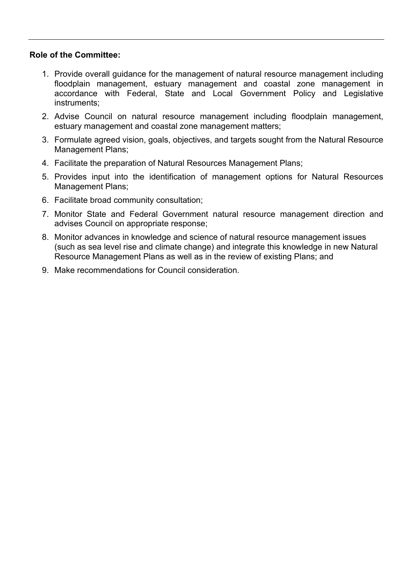#### **Role of the Committee:**

- 1. Provide overall guidance for the management of natural resource management including floodplain management, estuary management and coastal zone management in accordance with Federal, State and Local Government Policy and Legislative instruments;
- 2. Advise Council on natural resource management including floodplain management, estuary management and coastal zone management matters;
- 3. Formulate agreed vision, goals, objectives, and targets sought from the Natural Resource Management Plans;
- 4. Facilitate the preparation of Natural Resources Management Plans;
- 5. Provides input into the identification of management options for Natural Resources Management Plans;
- 6. Facilitate broad community consultation;
- 7. Monitor State and Federal Government natural resource management direction and advises Council on appropriate response;
- 8. Monitor advances in knowledge and science of natural resource management issues (such as sea level rise and climate change) and integrate this knowledge in new Natural Resource Management Plans as well as in the review of existing Plans; and
- 9. Make recommendations for Council consideration.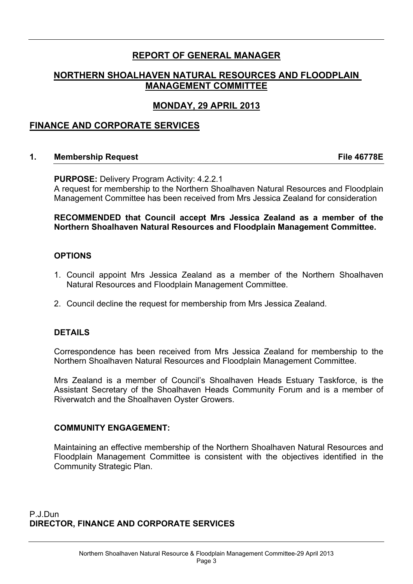# **REPORT OF GENERAL MANAGER**

## **NORTHERN SHOALHAVEN NATURAL RESOURCES AND FLOODPLAIN MANAGEMENT COMMITTEE**

## **MONDAY, 29 APRIL 2013**

## **FINANCE AND CORPORATE SERVICES**

#### **1. Membership Request File 46778E**

**PURPOSE:** Delivery Program Activity: 4.2.2.1 A request for membership to the Northern Shoalhaven Natural Resources and Floodplain Management Committee has been received from Mrs Jessica Zealand for consideration

#### **RECOMMENDED that Council accept Mrs Jessica Zealand as a member of the Northern Shoalhaven Natural Resources and Floodplain Management Committee.**

#### **OPTIONS**

- 1. Council appoint Mrs Jessica Zealand as a member of the Northern Shoalhaven Natural Resources and Floodplain Management Committee.
- 2. Council decline the request for membership from Mrs Jessica Zealand.

#### **DETAILS**

Correspondence has been received from Mrs Jessica Zealand for membership to the Northern Shoalhaven Natural Resources and Floodplain Management Committee.

Mrs Zealand is a member of Council's Shoalhaven Heads Estuary Taskforce, is the Assistant Secretary of the Shoalhaven Heads Community Forum and is a member of Riverwatch and the Shoalhaven Oyster Growers.

#### **COMMUNITY ENGAGEMENT:**

Maintaining an effective membership of the Northern Shoalhaven Natural Resources and Floodplain Management Committee is consistent with the objectives identified in the Community Strategic Plan.

P.J.Dun **DIRECTOR, FINANCE AND CORPORATE SERVICES**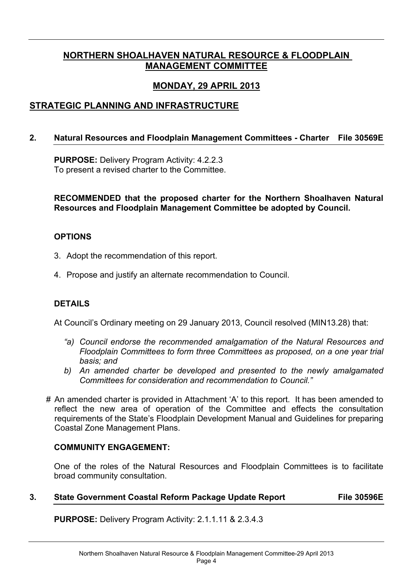# **NORTHERN SHOALHAVEN NATURAL RESOURCE & FLOODPLAIN MANAGEMENT COMMITTEE**

# **MONDAY, 29 APRIL 2013**

# **STRATEGIC PLANNING AND INFRASTRUCTURE**

## **2. Natural Resources and Floodplain Management Committees - Charter File 30569E**

**PURPOSE:** Delivery Program Activity: 4.2.2.3 To present a revised charter to the Committee.

**RECOMMENDED that the proposed charter for the Northern Shoalhaven Natural Resources and Floodplain Management Committee be adopted by Council.**

### **OPTIONS**

- 3. Adopt the recommendation of this report.
- 4. Propose and justify an alternate recommendation to Council.

## **DETAILS**

At Council's Ordinary meeting on 29 January 2013, Council resolved (MIN13.28) that:

- *"a) Council endorse the recommended amalgamation of the Natural Resources and Floodplain Committees to form three Committees as proposed, on a one year trial basis; and*
- *b) An amended charter be developed and presented to the newly amalgamated Committees for consideration and recommendation to Council."*
- # An amended charter is provided in Attachment 'A' to this report. It has been amended to reflect the new area of operation of the Committee and effects the consultation requirements of the State's Floodplain Development Manual and Guidelines for preparing Coastal Zone Management Plans.

#### **COMMUNITY ENGAGEMENT:**

One of the roles of the Natural Resources and Floodplain Committees is to facilitate broad community consultation.

## **3. State Government Coastal Reform Package Update Report File 30596E**

**PURPOSE:** Delivery Program Activity: 2.1.1.11 & 2.3.4.3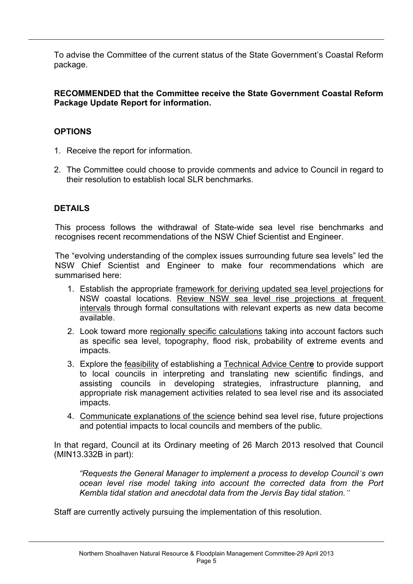To advise the Committee of the current status of the State Government's Coastal Reform package.

### **RECOMMENDED that the Committee receive the State Government Coastal Reform Package Update Report for information.**

# **OPTIONS**

- 1. Receive the report for information.
- 2. The Committee could choose to provide comments and advice to Council in regard to their resolution to establish local SLR benchmarks.

# **DETAILS**

This process follows the withdrawal of State-wide sea level rise benchmarks and recognises recent recommendations of the NSW Chief Scientist and Engineer.

The "evolving understanding of the complex issues surrounding future sea levels" led the NSW Chief Scientist and Engineer to make four recommendations which are summarised here:

- 1. Establish the appropriate framework for deriving updated sea level projections for NSW coastal locations. Review NSW sea level rise projections at frequent intervals through formal consultations with relevant experts as new data become available.
- 2. Look toward more regionally specific calculations taking into account factors such as specific sea level, topography, flood risk, probability of extreme events and impacts.
- 3. Explore the feasibility of establishing a Technical Advice Centr**e** to provide support to local councils in interpreting and translating new scientific findings, and assisting councils in developing strategies, infrastructure planning, and appropriate risk management activities related to sea level rise and its associated impacts.
- 4. Communicate explanations of the science behind sea level rise, future projections and potential impacts to local councils and members of the public.

In that regard, Council at its Ordinary meeting of 26 March 2013 resolved that Council (MIN13.332B in part):

*"Requests the General Manager to implement a process to develop Council's own ocean level rise model taking into account the corrected data from the Port Kembla tidal station and anecdotal data from the Jervis Bay tidal station."*

Staff are currently actively pursuing the implementation of this resolution.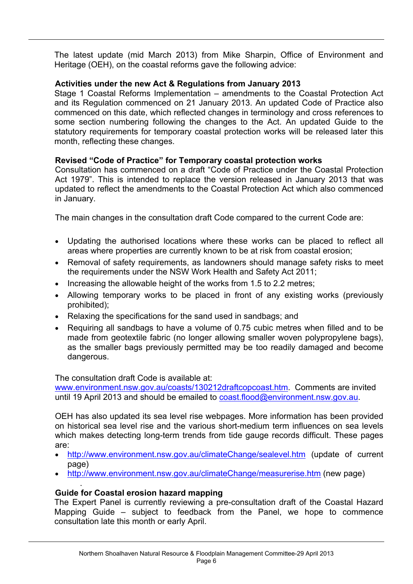The latest update (mid March 2013) from Mike Sharpin, Office of Environment and Heritage (OEH), on the coastal reforms gave the following advice:

## **Activities under the new Act & Regulations from January 2013**

Stage 1 Coastal Reforms Implementation – amendments to the Coastal Protection Act and its Regulation commenced on 21 January 2013. An updated Code of Practice also commenced on this date, which reflected changes in terminology and cross references to some section numbering following the changes to the Act. An updated Guide to the statutory requirements for temporary coastal protection works will be released later this month, reflecting these changes.

# **Revised "Code of Practice" for Temporary coastal protection works**

Consultation has commenced on a draft "Code of Practice under the Coastal Protection Act 1979". This is intended to replace the version released in January 2013 that was updated to reflect the amendments to the Coastal Protection Act which also commenced in January.

The main changes in the consultation draft Code compared to the current Code are:

- Updating the authorised locations where these works can be placed to reflect all areas where properties are currently known to be at risk from coastal erosion;
- Removal of safety requirements, as landowners should manage safety risks to meet the requirements under the NSW Work Health and Safety Act 2011;
- Increasing the allowable height of the works from 1.5 to 2.2 metres;
- Allowing temporary works to be placed in front of any existing works (previously prohibited);
- Relaxing the specifications for the sand used in sandbags; and
- Requiring all sandbags to have a volume of 0.75 cubic metres when filled and to be made from geotextile fabric (no longer allowing smaller woven polypropylene bags), as the smaller bags previously permitted may be too readily damaged and become dangerous.

The consultation draft Code is available at:

[www.environment.nsw.gov.au/coasts/130212draftcopcoast.htm.](http://www.environment.nsw.gov.au/coasts/130212draftcopcoast.htm) Comments are invited until 19 April 2013 and should be emailed to [coast.flood@environment.nsw.gov.au](mailto:coast.flood@environment.nsw.gov.au).

OEH has also updated its sea level rise webpages. More information has been provided on historical sea level rise and the various short-medium term influences on sea levels which makes detecting long-term trends from tide gauge records difficult. These pages are:

- <http://www.environment.nsw.gov.au/climateChange/sealevel.htm> (update of current page)
- <http://www.environment.nsw.gov.au/climateChange/measurerise.htm> (new page)

## **Guide for Coastal erosion hazard mapping**

.

The Expert Panel is currently reviewing a pre-consultation draft of the Coastal Hazard Mapping Guide – subject to feedback from the Panel, we hope to commence consultation late this month or early April.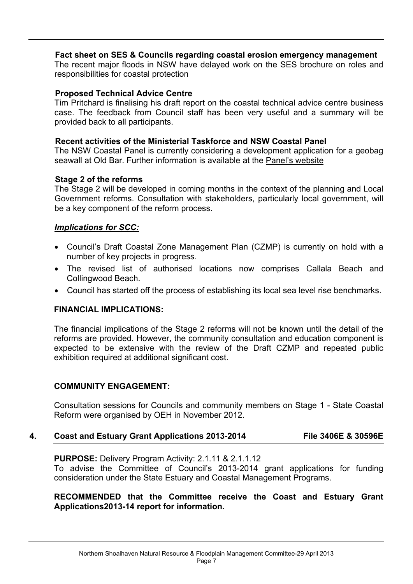#### **Fact sheet on SES & Councils regarding coastal erosion emergency management**

The recent major floods in NSW have delayed work on the SES brochure on roles and responsibilities for coastal protection

#### **Proposed Technical Advice Centre**

Tim Pritchard is finalising his draft report on the coastal technical advice centre business case. The feedback from Council staff has been very useful and a summary will be provided back to all participants.

#### **Recent activities of the Ministerial Taskforce and NSW Coastal Panel**

The NSW Coastal Panel is currently considering a development application for a geobag seawall at Old Bar. Further information is available at the Panel's [website](http://www.environment.nsw.gov.au/coasts/coastalpanel.htm)

#### **Stage 2 of the reforms**

The Stage 2 will be developed in coming months in the context of the planning and Local Government reforms. Consultation with stakeholders, particularly local government, will be a key component of the reform process.

#### *Implications for SCC:*

- Council's Draft Coastal Zone Management Plan (CZMP) is currently on hold with a number of key projects in progress.
- The revised list of authorised locations now comprises Callala Beach and Collingwood Beach.
- Council has started off the process of establishing its local sea level rise benchmarks.

#### **FINANCIAL IMPLICATIONS:**

The financial implications of the Stage 2 reforms will not be known until the detail of the reforms are provided. However, the community consultation and education component is expected to be extensive with the review of the Draft CZMP and repeated public exhibition required at additional significant cost.

#### **COMMUNITY ENGAGEMENT:**

Consultation sessions for Councils and community members on Stage 1 - State Coastal Reform were organised by OEH in November 2012.

#### **4. Coast and Estuary Grant Applications 2013-2014 File 3406E & 30596E**

**PURPOSE:** Delivery Program Activity: 2.1.11 & 2.1.1.12 To advise the Committee of Council's 2013-2014 grant applications for funding consideration under the State Estuary and Coastal Management Programs.

**RECOMMENDED that the Committee receive the Coast and Estuary Grant Applications2013-14 report for information.**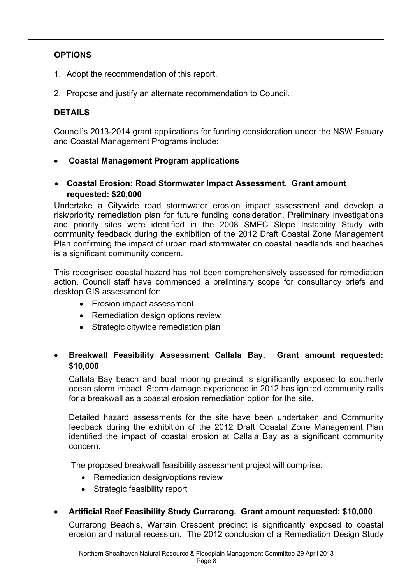# **OPTIONS**

- 1. Adopt the recommendation of this report.
- 2. Propose and justify an alternate recommendation to Council.

## **DETAILS**

Council's 2013-2014 grant applications for funding consideration under the NSW Estuary and Coastal Management Programs include:

- **Coastal Management Program applications**
- **Coastal Erosion: Road Stormwater Impact Assessment. Grant amount requested: \$20,000**

Undertake a Citywide road stormwater erosion impact assessment and develop a risk/priority remediation plan for future funding consideration. Preliminary investigations and priority sites were identified in the 2008 SMEC Slope Instability Study with community feedback during the exhibition of the 2012 Draft Coastal Zone Management Plan confirming the impact of urban road stormwater on coastal headlands and beaches is a significant community concern.

This recognised coastal hazard has not been comprehensively assessed for remediation action. Council staff have commenced a preliminary scope for consultancy briefs and desktop GIS assessment for:

- Erosion impact assessment
- Remediation design options review
- Strategic citywide remediation plan

# **Breakwall Feasibility Assessment Callala Bay. Grant amount requested: \$10,000**

Callala Bay beach and boat mooring precinct is significantly exposed to southerly ocean storm impact. Storm damage experienced in 2012 has ignited community calls for a breakwall as a coastal erosion remediation option for the site.

Detailed hazard assessments for the site have been undertaken and Community feedback during the exhibition of the 2012 Draft Coastal Zone Management Plan identified the impact of coastal erosion at Callala Bay as a significant community concern.

The proposed breakwall feasibility assessment project will comprise:

- Remediation design/options review
- Strategic feasibility report
- **Artificial Reef Feasibility Study Currarong. Grant amount requested: \$10,000**

Currarong Beach's, Warrain Crescent precinct is significantly exposed to coastal erosion and natural recession. The 2012 conclusion of a Remediation Design Study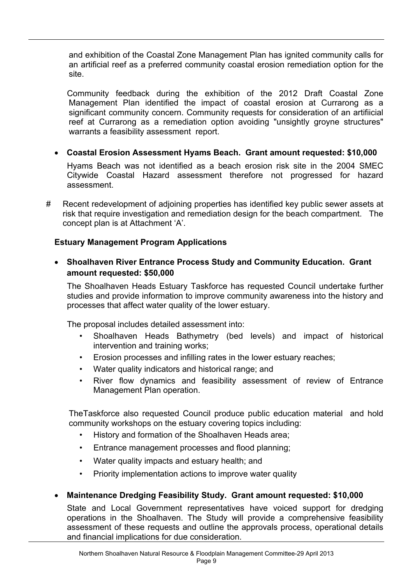and exhibition of the Coastal Zone Management Plan has ignited community calls for an artificial reef as a preferred community coastal erosion remediation option for the site.

Community feedback during the exhibition of the 2012 Draft Coastal Zone Management Plan identified the impact of coastal erosion at Currarong as a significant community concern. Community requests for consideration of an artifiicial reef at Currarong as a remediation option avoiding "unsightly groyne structures" warrants a feasibility assessment report.

**Coastal Erosion Assessment Hyams Beach. Grant amount requested: \$10,000**

Hyams Beach was not identified as a beach erosion risk site in the 2004 SMEC Citywide Coastal Hazard assessment therefore not progressed for hazard assessment.

# Recent redevelopment of adjoining properties has identified key public sewer assets at risk that require investigation and remediation design for the beach compartment. The concept plan is at Attachment 'A'.

# **Estuary Management Program Applications**

## **Shoalhaven River Entrance Process Study and Community Education. Grant amount requested: \$50,000**

The Shoalhaven Heads Estuary Taskforce has requested Council undertake further studies and provide information to improve community awareness into the history and processes that affect water quality of the lower estuary.

The proposal includes detailed assessment into:

- Shoalhaven Heads Bathymetry (bed levels) and impact of historical intervention and training works;
- Erosion processes and infilling rates in the lower estuary reaches;
- Water quality indicators and historical range; and
- River flow dynamics and feasibility assessment of review of Entrance Management Plan operation.

TheTaskforce also requested Council produce public education material and hold community workshops on the estuary covering topics including:

- History and formation of the Shoalhaven Heads area;
- Entrance management processes and flood planning;
- Water quality impacts and estuary health; and
- Priority implementation actions to improve water quality

# **Maintenance Dredging Feasibility Study. Grant amount requested: \$10,000**

State and Local Government representatives have voiced support for dredging operations in the Shoalhaven. The Study will provide a comprehensive feasibility assessment of these requests and outline the approvals process, operational details and financial implications for due consideration.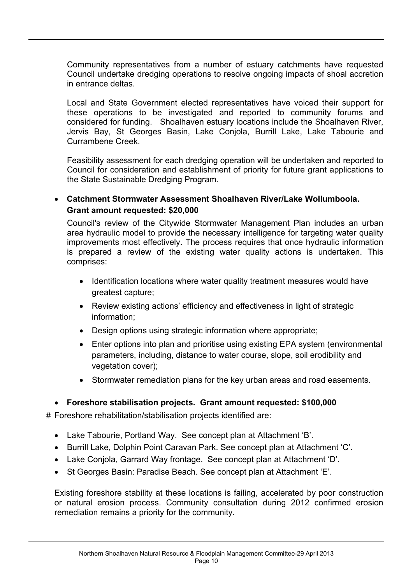Community representatives from a number of estuary catchments have requested Council undertake dredging operations to resolve ongoing impacts of shoal accretion in entrance deltas.

Local and State Government elected representatives have voiced their support for these operations to be investigated and reported to community forums and considered for funding. Shoalhaven estuary locations include the Shoalhaven River, Jervis Bay, St Georges Basin, Lake Conjola, Burrill Lake, Lake Tabourie and Currambene Creek.

Feasibility assessment for each dredging operation will be undertaken and reported to Council for consideration and establishment of priority for future grant applications to the State Sustainable Dredging Program.

## **Catchment Stormwater Assessment Shoalhaven River/Lake Wollumboola. Grant amount requested: \$20,000**

Council's review of the Citywide Stormwater Management Plan includes an urban area hydraulic model to provide the necessary intelligence for targeting water quality improvements most effectively. The process requires that once hydraulic information is prepared a review of the existing water quality actions is undertaken. This comprises:

- Identification locations where water quality treatment measures would have greatest capture;
- Review existing actions' efficiency and effectiveness in light of strategic information;
- Design options using strategic information where appropriate;
- Enter options into plan and prioritise using existing EPA system (environmental parameters, including, distance to water course, slope, soil erodibility and vegetation cover);
- Stormwater remediation plans for the key urban areas and road easements.

## **Foreshore stabilisation projects. Grant amount requested: \$100,000**

# Foreshore rehabilitation/stabilisation projects identified are:

- Lake Tabourie, Portland Way. See concept plan at Attachment 'B'.
- Burrill Lake, Dolphin Point Caravan Park. See concept plan at Attachment 'C'.
- Lake Conjola, Garrard Way frontage. See concept plan at Attachment 'D'.
- St Georges Basin: Paradise Beach. See concept plan at Attachment 'E'.

Existing foreshore stability at these locations is failing, accelerated by poor construction or natural erosion process. Community consultation during 2012 confirmed erosion remediation remains a priority for the community.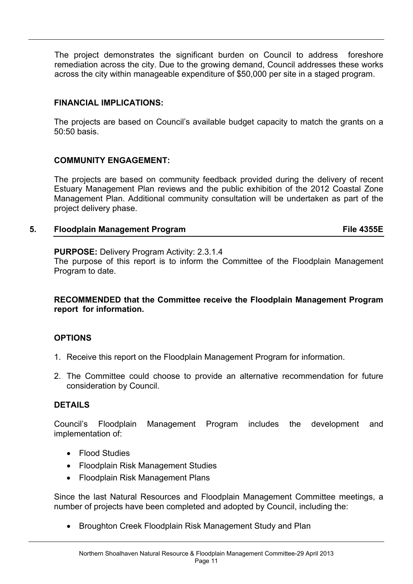The project demonstrates the significant burden on Council to address foreshore remediation across the city. Due to the growing demand, Council addresses these works across the city within manageable expenditure of \$50,000 per site in a staged program.

## **FINANCIAL IMPLICATIONS:**

The projects are based on Council's available budget capacity to match the grants on a 50:50 basis.

# **COMMUNITY ENGAGEMENT:**

The projects are based on community feedback provided during the delivery of recent Estuary Management Plan reviews and the public exhibition of the 2012 Coastal Zone Management Plan. Additional community consultation will be undertaken as part of the project delivery phase.

# **5. Floodplain Management Program File 4355E**

**PURPOSE:** Delivery Program Activity: 2.3.1.4

The purpose of this report is to inform the Committee of the Floodplain Management Program to date.

### **RECOMMENDED that the Committee receive the Floodplain Management Program report for information.**

## **OPTIONS**

- 1. Receive this report on the Floodplain Management Program for information.
- 2. The Committee could choose to provide an alternative recommendation for future consideration by Council.

## **DETAILS**

Council's Floodplain Management Program includes the development and implementation of:

- Flood Studies
- Floodplain Risk Management Studies
- Floodplain Risk Management Plans

Since the last Natural Resources and Floodplain Management Committee meetings, a number of projects have been completed and adopted by Council, including the:

Broughton Creek Floodplain Risk Management Study and Plan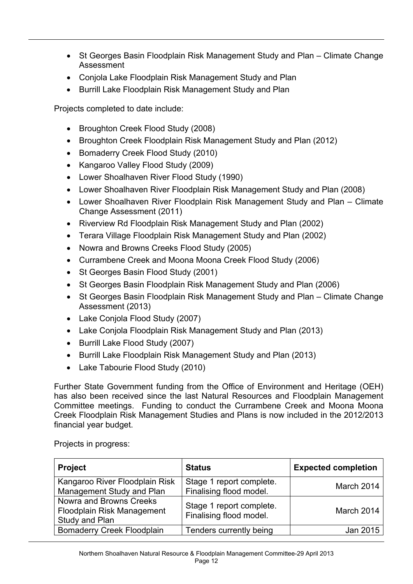- St Georges Basin Floodplain Risk Management Study and Plan Climate Change Assessment
- Conjola Lake Floodplain Risk Management Study and Plan
- Burrill Lake Floodplain Risk Management Study and Plan

Projects completed to date include:

- Broughton Creek Flood Study (2008)
- Broughton Creek Floodplain Risk Management Study and Plan (2012)
- Bomaderry Creek Flood Study (2010)
- Kangaroo Valley Flood Study (2009)
- Lower Shoalhaven River Flood Study (1990)
- Lower Shoalhaven River Floodplain Risk Management Study and Plan (2008)
- Lower Shoalhaven River Floodplain Risk Management Study and Plan Climate Change Assessment (2011)
- Riverview Rd Floodplain Risk Management Study and Plan (2002)
- Terara Village Floodplain Risk Management Study and Plan (2002)
- Nowra and Browns Creeks Flood Study (2005)
- Currambene Creek and Moona Moona Creek Flood Study (2006)
- St Georges Basin Flood Study (2001)
- St Georges Basin Floodplain Risk Management Study and Plan (2006)
- St Georges Basin Floodplain Risk Management Study and Plan Climate Change Assessment (2013)
- Lake Conjola Flood Study (2007)
- Lake Conjola Floodplain Risk Management Study and Plan (2013)
- Burrill Lake Flood Study (2007)
- Burrill Lake Floodplain Risk Management Study and Plan (2013)
- Lake Tabourie Flood Study (2010)

Further State Government funding from the Office of Environment and Heritage (OEH) has also been received since the last Natural Resources and Floodplain Management Committee meetings. Funding to conduct the Currambene Creek and Moona Moona Creek Floodplain Risk Management Studies and Plans is now included in the 2012/2013 financial year budget.

| <b>Project</b>                                                                 | <b>Status</b>                                       | <b>Expected completion</b> |
|--------------------------------------------------------------------------------|-----------------------------------------------------|----------------------------|
| Kangaroo River Floodplain Risk<br>Management Study and Plan                    | Stage 1 report complete.<br>Finalising flood model. | March 2014                 |
| <b>Nowra and Browns Creeks</b><br>Floodplain Risk Management<br>Study and Plan | Stage 1 report complete.<br>Finalising flood model. | March 2014                 |
| <b>Bomaderry Creek Floodplain</b>                                              | Tenders currently being                             | Jan 2015                   |

Projects in progress: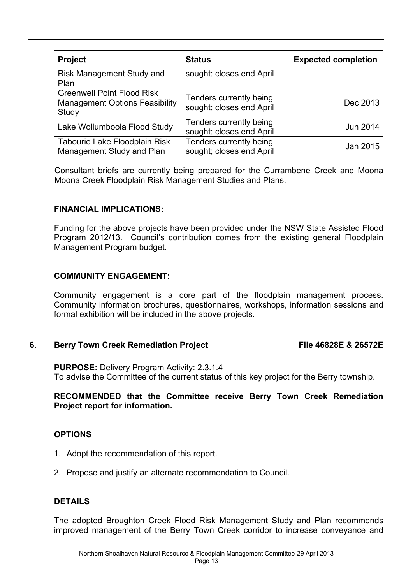| <b>Project</b>                                                                      | <b>Status</b>                                       | <b>Expected completion</b> |
|-------------------------------------------------------------------------------------|-----------------------------------------------------|----------------------------|
| <b>Risk Management Study and</b><br>Plan                                            | sought; closes end April                            |                            |
| <b>Greenwell Point Flood Risk</b><br><b>Management Options Feasibility</b><br>Study | Tenders currently being<br>sought; closes end April | Dec 2013                   |
| Lake Wollumboola Flood Study                                                        | Tenders currently being<br>sought; closes end April | Jun 2014                   |
| Tabourie Lake Floodplain Risk<br>Management Study and Plan                          | Tenders currently being<br>sought; closes end April | Jan 2015                   |

Consultant briefs are currently being prepared for the Currambene Creek and Moona Moona Creek Floodplain Risk Management Studies and Plans.

#### **FINANCIAL IMPLICATIONS:**

Funding for the above projects have been provided under the NSW State Assisted Flood Program 2012/13. Council's contribution comes from the existing general Floodplain Management Program budget.

### **COMMUNITY ENGAGEMENT:**

Community engagement is a core part of the floodplain management process. Community information brochures, questionnaires, workshops, information sessions and formal exhibition will be included in the above projects.

## **6. Berry Town Creek Remediation Project File 46828E & 26572E**

**PURPOSE:** Delivery Program Activity: 2.3.1.4 To advise the Committee of the current status of this key project for the Berry township.

#### **RECOMMENDED that the Committee receive Berry Town Creek Remediation Project report for information.**

#### **OPTIONS**

- 1. Adopt the recommendation of this report.
- 2. Propose and justify an alternate recommendation to Council.

#### **DETAILS**

The adopted Broughton Creek Flood Risk Management Study and Plan recommends improved management of the Berry Town Creek corridor to increase conveyance and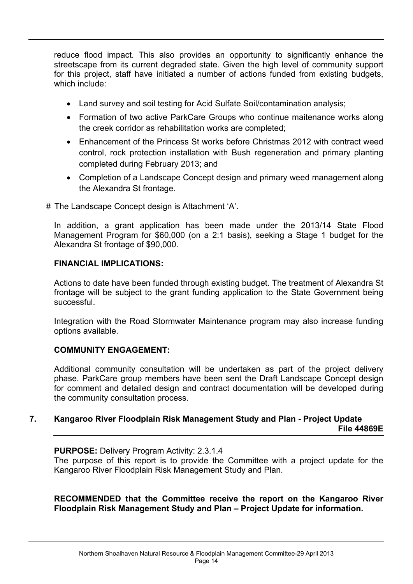reduce flood impact. This also provides an opportunity to significantly enhance the streetscape from its current degraded state. Given the high level of community support for this project, staff have initiated a number of actions funded from existing budgets, which include:

- Land survey and soil testing for Acid Sulfate Soil/contamination analysis:
- Formation of two active ParkCare Groups who continue maitenance works along the creek corridor as rehabilitation works are completed;
- Enhancement of the Princess St works before Christmas 2012 with contract weed control, rock protection installation with Bush regeneration and primary planting completed during February 2013; and
- Completion of a Landscape Concept design and primary weed management along the Alexandra St frontage.
- # The Landscape Concept design is Attachment 'A'.

In addition, a grant application has been made under the 2013/14 State Flood Management Program for \$60,000 (on a 2:1 basis), seeking a Stage 1 budget for the Alexandra St frontage of \$90,000.

### **FINANCIAL IMPLICATIONS:**

Actions to date have been funded through existing budget. The treatment of Alexandra St frontage will be subject to the grant funding application to the State Government being successful.

Integration with the Road Stormwater Maintenance program may also increase funding options available.

## **COMMUNITY ENGAGEMENT:**

Additional community consultation will be undertaken as part of the project delivery phase. ParkCare group members have been sent the Draft Landscape Concept design for comment and detailed design and contract documentation will be developed during the community consultation process.

### **7. Kangaroo River Floodplain Risk Management Study and Plan - Project Update File 44869E**

**PURPOSE:** Delivery Program Activity: 2.3.1.4

The purpose of this report is to provide the Committee with a project update for the Kangaroo River Floodplain Risk Management Study and Plan.

#### **RECOMMENDED that the Committee receive the report on the Kangaroo River Floodplain Risk Management Study and Plan – Project Update for information.**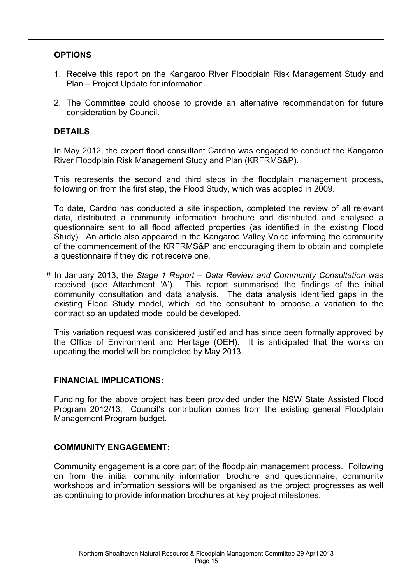## **OPTIONS**

- 1. Receive this report on the Kangaroo River Floodplain Risk Management Study and Plan – Project Update for information.
- 2. The Committee could choose to provide an alternative recommendation for future consideration by Council.

## **DETAILS**

In May 2012, the expert flood consultant Cardno was engaged to conduct the Kangaroo River Floodplain Risk Management Study and Plan (KRFRMS&P).

This represents the second and third steps in the floodplain management process, following on from the first step, the Flood Study, which was adopted in 2009.

To date, Cardno has conducted a site inspection, completed the review of all relevant data, distributed a community information brochure and distributed and analysed a questionnaire sent to all flood affected properties (as identified in the existing Flood Study). An article also appeared in the Kangaroo Valley Voice informing the community of the commencement of the KRFRMS&P and encouraging them to obtain and complete a questionnaire if they did not receive one.

# In January 2013, the *Stage 1 Report – Data Review and Community Consultation* was received (see Attachment 'A'). This report summarised the findings of the initial community consultation and data analysis. The data analysis identified gaps in the existing Flood Study model, which led the consultant to propose a variation to the contract so an updated model could be developed.

This variation request was considered justified and has since been formally approved by the Office of Environment and Heritage (OEH). It is anticipated that the works on updating the model will be completed by May 2013.

#### **FINANCIAL IMPLICATIONS:**

Funding for the above project has been provided under the NSW State Assisted Flood Program 2012/13. Council's contribution comes from the existing general Floodplain Management Program budget.

## **COMMUNITY ENGAGEMENT:**

Community engagement is a core part of the floodplain management process. Following on from the initial community information brochure and questionnaire, community workshops and information sessions will be organised as the project progresses as well as continuing to provide information brochures at key project milestones.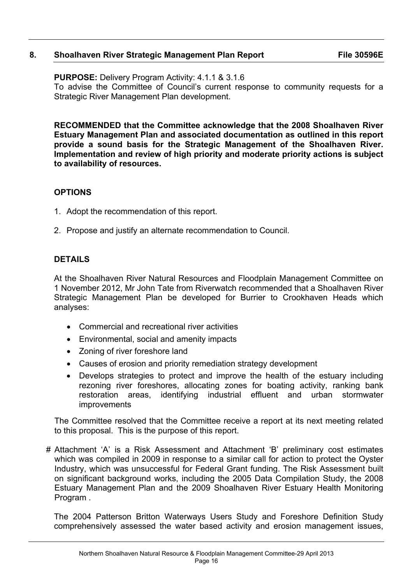### **8. Shoalhaven River Strategic Management Plan Report File 30596E**

**PURPOSE:** Delivery Program Activity: 4.1.1 & 3.1.6 To advise the Committee of Council's current response to community requests for a Strategic River Management Plan development.

**RECOMMENDED that the Committee acknowledge that the 2008 Shoalhaven River Estuary Management Plan and associated documentation as outlined in this report provide a sound basis for the Strategic Management of the Shoalhaven River. Implementation and review of high priority and moderate priority actions is subject to availability of resources.**

### **OPTIONS**

- 1. Adopt the recommendation of this report.
- 2. Propose and justify an alternate recommendation to Council.

## **DETAILS**

At the Shoalhaven River Natural Resources and Floodplain Management Committee on 1 November 2012, Mr John Tate from Riverwatch recommended that a Shoalhaven River Strategic Management Plan be developed for Burrier to Crookhaven Heads which analyses:

- Commercial and recreational river activities
- Environmental, social and amenity impacts
- Zoning of river foreshore land
- Causes of erosion and priority remediation strategy development
- Develops strategies to protect and improve the health of the estuary including rezoning river foreshores, allocating zones for boating activity, ranking bank restoration areas, identifying industrial effluent and urban stormwater improvements

The Committee resolved that the Committee receive a report at its next meeting related to this proposal. This is the purpose of this report.

# Attachment 'A' is a Risk Assessment and Attachment 'B' preliminary cost estimates which was compiled in 2009 in response to a similar call for action to protect the Oyster Industry, which was unsuccessful for Federal Grant funding. The Risk Assessment built on significant background works, including the 2005 Data Compilation Study, the 2008 Estuary Management Plan and the 2009 Shoalhaven River Estuary Health Monitoring Program .

The 2004 Patterson Britton Waterways Users Study and Foreshore Definition Study comprehensively assessed the water based activity and erosion management issues,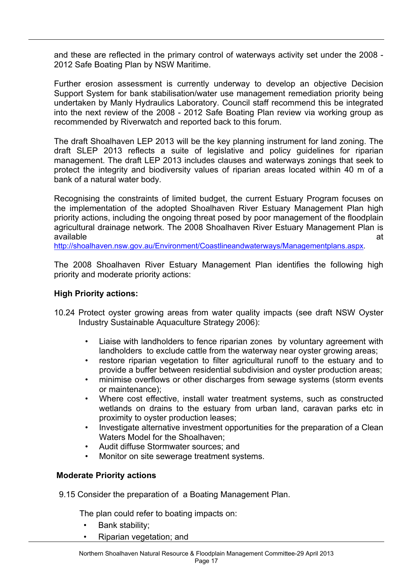and these are reflected in the primary control of waterways activity set under the 2008 - 2012 Safe Boating Plan by NSW Maritime.

Further erosion assessment is currently underway to develop an objective Decision Support System for bank stabilisation/water use management remediation priority being undertaken by Manly Hydraulics Laboratory. Council staff recommend this be integrated into the next review of the 2008 - 2012 Safe Boating Plan review via working group as recommended by Riverwatch and reported back to this forum.

The draft Shoalhaven LEP 2013 will be the key planning instrument for land zoning. The draft SLEP 2013 reflects a suite of legislative and policy guidelines for riparian management. The draft LEP 2013 includes clauses and waterways zonings that seek to protect the integrity and biodiversity values of riparian areas located within 40 m of a bank of a natural water body.

Recognising the constraints of limited budget, the current Estuary Program focuses on the implementation of the adopted Shoalhaven River Estuary Management Plan high priority actions, including the ongoing threat posed by poor management of the floodplain agricultural drainage network. The 2008 Shoalhaven River Estuary Management Plan is available at the contract of the contract of the contract of the contract of the contract of the contract of the contract of the contract of the contract of the contract of the contract of the contract of the contract of t

<http://shoalhaven.nsw.gov.au/Environment/Coastlineandwaterways/Managementplans.aspx>.

The 2008 Shoalhaven River Estuary Management Plan identifies the following high priority and moderate priority actions:

## **High Priority actions:**

- 10.24 Protect oyster growing areas from water quality impacts (see draft NSW Oyster Industry Sustainable Aquaculture Strategy 2006):
	- Liaise with landholders to fence riparian zones by voluntary agreement with landholders to exclude cattle from the waterway near oyster growing areas;
	- restore riparian vegetation to filter agricultural runoff to the estuary and to provide a buffer between residential subdivision and oyster production areas;
	- minimise overflows or other discharges from sewage systems (storm events or maintenance);
	- Where cost effective, install water treatment systems, such as constructed wetlands on drains to the estuary from urban land, caravan parks etc in proximity to oyster production leases;
	- Investigate alternative investment opportunities for the preparation of a Clean Waters Model for the Shoalhaven;
	- Audit diffuse Stormwater sources; and
	- Monitor on site sewerage treatment systems.

#### **Moderate Priority actions**

9.15 Consider the preparation of a Boating Management Plan.

The plan could refer to boating impacts on:

- Bank stability;
- Riparian vegetation; and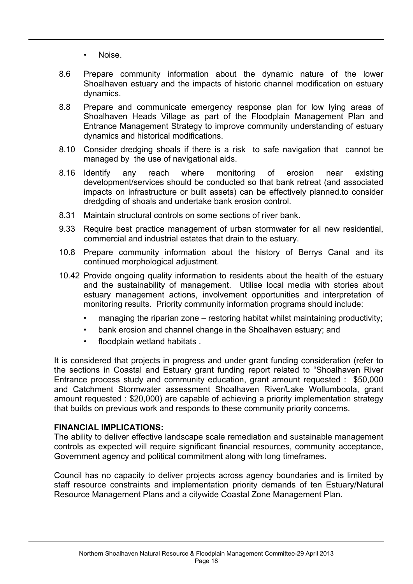- Noise.
- 8.6 Prepare community information about the dynamic nature of the lower Shoalhaven estuary and the impacts of historic channel modification on estuary dynamics.
- 8.8 Prepare and communicate emergency response plan for low lying areas of Shoalhaven Heads Village as part of the Floodplain Management Plan and Entrance Management Strategy to improve community understanding of estuary dynamics and historical modifications.
- 8.10 Consider dredging shoals if there is a risk to safe navigation that cannot be managed by the use of navigational aids.
- 8.16 Identify any reach where monitoring of erosion near existing development/services should be conducted so that bank retreat (and associated impacts on infrastructure or built assets) can be effectively planned.to consider dredgding of shoals and undertake bank erosion control.
- 8.31 Maintain structural controls on some sections of river bank.
- 9.33 Require best practice management of urban stormwater for all new residential, commercial and industrial estates that drain to the estuary.
- 10.8 Prepare community information about the history of Berrys Canal and its continued morphological adjustment.
- 10.42 Provide ongoing quality information to residents about the health of the estuary and the sustainability of management. Utilise local media with stories about estuary management actions, involvement opportunities and interpretation of monitoring results. Priority community information programs should include:
	- managing the riparian zone restoring habitat whilst maintaining productivity;
	- bank erosion and channel change in the Shoalhaven estuary; and
	- floodplain wetland habitats .

It is considered that projects in progress and under grant funding consideration (refer to the sections in Coastal and Estuary grant funding report related to "Shoalhaven River Entrance process study and community education, grant amount requested : \$50,000 and Catchment Stormwater assessment Shoalhaven River/Lake Wollumboola, grant amount requested : \$20,000) are capable of achieving a priority implementation strategy that builds on previous work and responds to these community priority concerns.

#### **FINANCIAL IMPLICATIONS:**

The ability to deliver effective landscape scale remediation and sustainable management controls as expected will require significant financial resources, community acceptance, Government agency and political commitment along with long timeframes.

Council has no capacity to deliver projects across agency boundaries and is limited by staff resource constraints and implementation priority demands of ten Estuary/Natural Resource Management Plans and a citywide Coastal Zone Management Plan.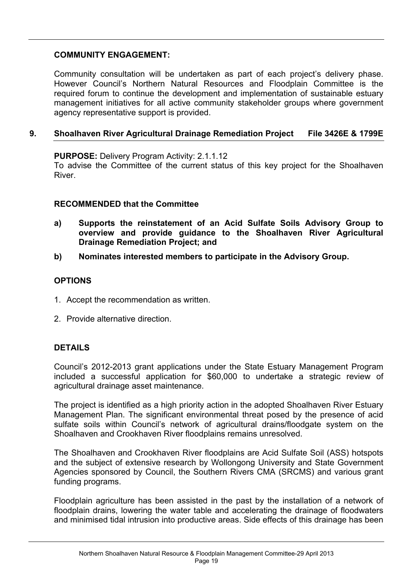# **COMMUNITY ENGAGEMENT:**

Community consultation will be undertaken as part of each project's delivery phase. However Council's Northern Natural Resources and Floodplain Committee is the required forum to continue the development and implementation of sustainable estuary management initiatives for all active community stakeholder groups where government agency representative support is provided.

# **9. Shoalhaven River Agricultural Drainage Remediation Project File 3426E & 1799E**

**PURPOSE:** Delivery Program Activity: 2.1.1.12

To advise the Committee of the current status of this key project for the Shoalhaven River.

### **RECOMMENDED that the Committee**

- **a) Supports the reinstatement of an Acid Sulfate Soils Advisory Group to overview and provide guidance to the Shoalhaven River Agricultural Drainage Remediation Project; and**
- **b) Nominates interested members to participate in the Advisory Group.**

## **OPTIONS**

- 1. Accept the recommendation as written.
- 2. Provide alternative direction.

## **DETAILS**

Council's 2012-2013 grant applications under the State Estuary Management Program included a successful application for \$60,000 to undertake a strategic review of agricultural drainage asset maintenance.

The project is identified as a high priority action in the adopted Shoalhaven River Estuary Management Plan. The significant environmental threat posed by the presence of acid sulfate soils within Council's network of agricultural drains/floodgate system on the Shoalhaven and Crookhaven River floodplains remains unresolved.

The Shoalhaven and Crookhaven River floodplains are Acid Sulfate Soil (ASS) hotspots and the subject of extensive research by Wollongong University and State Government Agencies sponsored by Council, the Southern Rivers CMA (SRCMS) and various grant funding programs.

Floodplain agriculture has been assisted in the past by the installation of a network of floodplain drains, lowering the water table and accelerating the drainage of floodwaters and minimised tidal intrusion into productive areas. Side effects of this drainage has been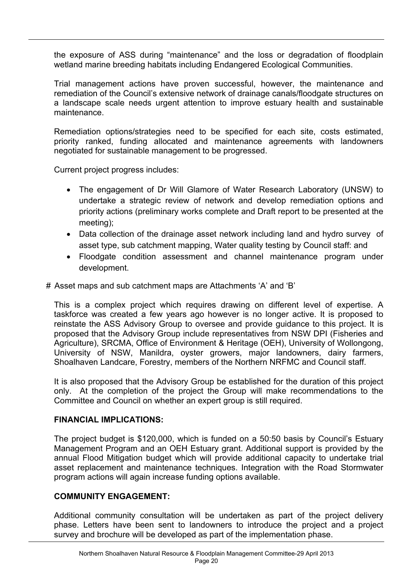the exposure of ASS during "maintenance" and the loss or degradation of floodplain wetland marine breeding habitats including Endangered Ecological Communities.

Trial management actions have proven successful, however, the maintenance and remediation of the Council's extensive network of drainage canals/floodgate structures on a landscape scale needs urgent attention to improve estuary health and sustainable maintenance.

Remediation options/strategies need to be specified for each site, costs estimated, priority ranked, funding allocated and maintenance agreements with landowners negotiated for sustainable management to be progressed.

Current project progress includes:

- The engagement of Dr Will Glamore of Water Research Laboratory (UNSW) to undertake a strategic review of network and develop remediation options and priority actions (preliminary works complete and Draft report to be presented at the meeting);
- Data collection of the drainage asset network including land and hydro survey of asset type, sub catchment mapping, Water quality testing by Council staff: and
- Floodgate condition assessment and channel maintenance program under development.

### # Asset maps and sub catchment maps are Attachments 'A' and 'B'

This is a complex project which requires drawing on different level of expertise. A taskforce was created a few years ago however is no longer active. It is proposed to reinstate the ASS Advisory Group to oversee and provide guidance to this project. It is proposed that the Advisory Group include representatives from NSW DPI (Fisheries and Agriculture), SRCMA, Office of Environment & Heritage (OEH), University of Wollongong, University of NSW, Manildra, oyster growers, major landowners, dairy farmers, Shoalhaven Landcare, Forestry, members of the Northern NRFMC and Council staff.

It is also proposed that the Advisory Group be established for the duration of this project only. At the completion of the project the Group will make recommendations to the Committee and Council on whether an expert group is still required.

#### **FINANCIAL IMPLICATIONS:**

The project budget is \$120,000, which is funded on a 50:50 basis by Council's Estuary Management Program and an OEH Estuary grant. Additional support is provided by the annual Flood Mitigation budget which will provide additional capacity to undertake trial asset replacement and maintenance techniques. Integration with the Road Stormwater program actions will again increase funding options available.

## **COMMUNITY ENGAGEMENT:**

Additional community consultation will be undertaken as part of the project delivery phase. Letters have been sent to landowners to introduce the project and a project survey and brochure will be developed as part of the implementation phase.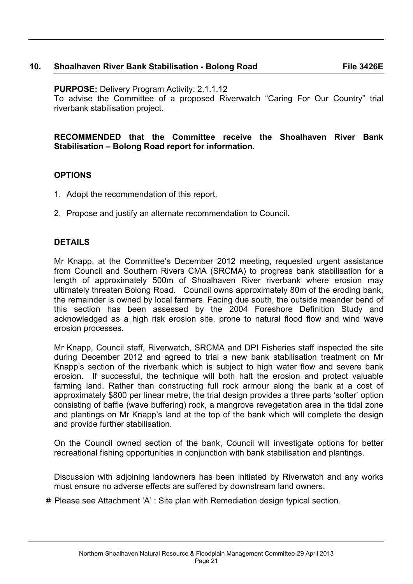### **10. Shoalhaven River Bank Stabilisation - Bolong Road File 3426E**

**PURPOSE:** Delivery Program Activity: 2.1.1.12

To advise the Committee of a proposed Riverwatch "Caring For Our Country" trial riverbank stabilisation project.

**RECOMMENDED that the Committee receive the Shoalhaven River Bank Stabilisation – Bolong Road report for information.**

### **OPTIONS**

- 1. Adopt the recommendation of this report.
- 2. Propose and justify an alternate recommendation to Council.

#### **DETAILS**

Mr Knapp, at the Committee's December 2012 meeting, requested urgent assistance from Council and Southern Rivers CMA (SRCMA) to progress bank stabilisation for a length of approximately 500m of Shoalhaven River riverbank where erosion may ultimately threaten Bolong Road. Council owns approximately 80m of the eroding bank, the remainder is owned by local farmers. Facing due south, the outside meander bend of this section has been assessed by the 2004 Foreshore Definition Study and acknowledged as a high risk erosion site, prone to natural flood flow and wind wave erosion processes.

Mr Knapp, Council staff, Riverwatch, SRCMA and DPI Fisheries staff inspected the site during December 2012 and agreed to trial a new bank stabilisation treatment on Mr Knapp's section of the riverbank which is subject to high water flow and severe bank erosion. If successful, the technique will both halt the erosion and protect valuable farming land. Rather than constructing full rock armour along the bank at a cost of approximately \$800 per linear metre, the trial design provides a three parts 'softer' option consisting of baffle (wave buffering) rock, a mangrove revegetation area in the tidal zone and plantings on Mr Knapp's land at the top of the bank which will complete the design and provide further stabilisation.

On the Council owned section of the bank, Council will investigate options for better recreational fishing opportunities in conjunction with bank stabilisation and plantings.

Discussion with adjoining landowners has been initiated by Riverwatch and any works must ensure no adverse effects are suffered by downstream land owners.

# Please see Attachment 'A' : Site plan with Remediation design typical section.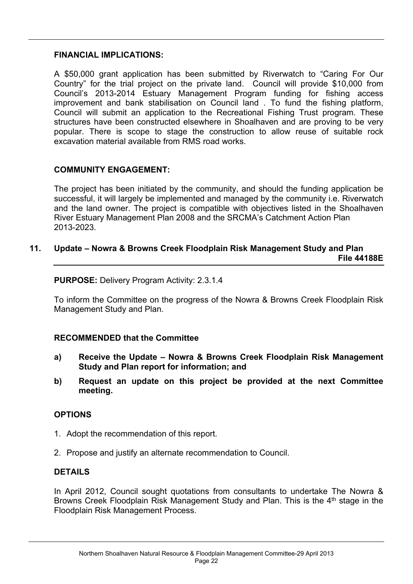#### **FINANCIAL IMPLICATIONS:**

A \$50,000 grant application has been submitted by Riverwatch to "Caring For Our Country" for the trial project on the private land.Council will provide \$10,000 from Council's 2013-2014 Estuary Management Program funding for fishing access improvement and bank stabilisation on Council land . To fund the fishing platform, Council will submit an application to the Recreational Fishing Trust program. These structures have been constructed elsewhere in Shoalhaven and are proving to be very popular. There is scope to stage the construction to allow reuse of suitable rock excavation material available from RMS road works.

## **COMMUNITY ENGAGEMENT:**

The project has been initiated by the community, and should the funding application be successful, it will largely be implemented and managed by the community i.e. Riverwatch and the land owner. The project is compatible with objectives listed in the Shoalhaven River Estuary Management Plan 2008 and the SRCMA's Catchment Action Plan 2013-2023.

# **11. Update – Nowra & Browns Creek Floodplain Risk Management Study and Plan File 44188E**

**PURPOSE:** Delivery Program Activity: 2.3.1.4

To inform the Committee on the progress of the Nowra & Browns Creek Floodplain Risk Management Study and Plan.

## **RECOMMENDED that the Committee**

- **a) Receive the Update – Nowra & Browns Creek Floodplain Risk Management Study and Plan report for information; and**
- **b) Request an update on this project be provided at the next Committee meeting.**

## **OPTIONS**

- 1. Adopt the recommendation of this report.
- 2. Propose and justify an alternate recommendation to Council.

## **DETAILS**

In April 2012, Council sought quotations from consultants to undertake The Nowra & Browns Creek Floodplain Risk Management Study and Plan. This is the 4<sup>th</sup> stage in the Floodplain Risk Management Process.